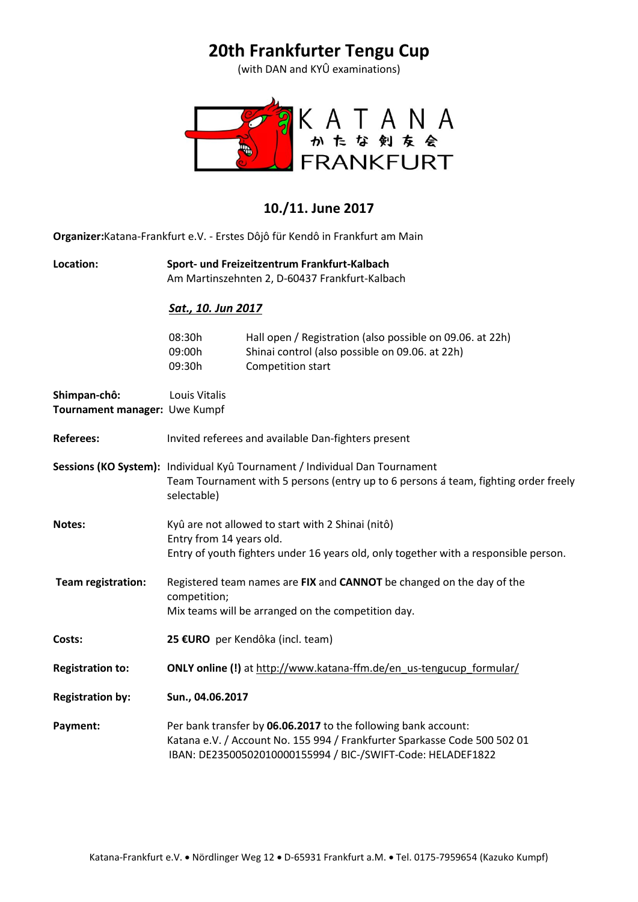# **20th Frankfurter Tengu Cup**

(with DAN and KYÛ examinations)



### **10./11. June 2017**

**Organizer:**Katana-Frankfurt e.V. - Erstes Dôjô für Kendô in Frankfurt am Main

**Location: Sport- und Freizeitzentrum Frankfurt-Kalbach**  Am Martinszehnten 2, D-60437 Frankfurt-Kalbach

#### *Sat., 10. Jun 2017*

| 08:30h | Hall open / Registration (also possible on 09.06. at 22h) |
|--------|-----------------------------------------------------------|
| 09:00h | Shinai control (also possible on 09.06. at 22h)           |
| 09:30h | Competition start                                         |

**Shimpan-chô:** Louis Vitalis **Tournament manager:** Uwe Kumpf

| <b>Referees:</b>          | Invited referees and available Dan-fighters present                                                                                                                                                        |  |  |
|---------------------------|------------------------------------------------------------------------------------------------------------------------------------------------------------------------------------------------------------|--|--|
|                           | Sessions (KO System): Individual Kyû Tournament / Individual Dan Tournament<br>Team Tournament with 5 persons (entry up to 6 persons á team, fighting order freely<br>selectable)                          |  |  |
| <b>Notes:</b>             | Kyû are not allowed to start with 2 Shinai (nitô)<br>Entry from 14 years old.<br>Entry of youth fighters under 16 years old, only together with a responsible person.                                      |  |  |
| <b>Team registration:</b> | Registered team names are FIX and CANNOT be changed on the day of the<br>competition;<br>Mix teams will be arranged on the competition day.                                                                |  |  |
| Costs:                    | 25 €URO per Kendôka (incl. team)                                                                                                                                                                           |  |  |
| <b>Registration to:</b>   | ONLY online (!) at http://www.katana-ffm.de/en_us-tengucup_formular/                                                                                                                                       |  |  |
| <b>Registration by:</b>   | Sun., 04.06.2017                                                                                                                                                                                           |  |  |
| Payment:                  | Per bank transfer by 06.06.2017 to the following bank account:<br>Katana e.V. / Account No. 155 994 / Frankfurter Sparkasse Code 500 502 01<br>IBAN: DE23500502010000155994 / BIC-/SWIFT-Code: HELADEF1822 |  |  |
|                           |                                                                                                                                                                                                            |  |  |